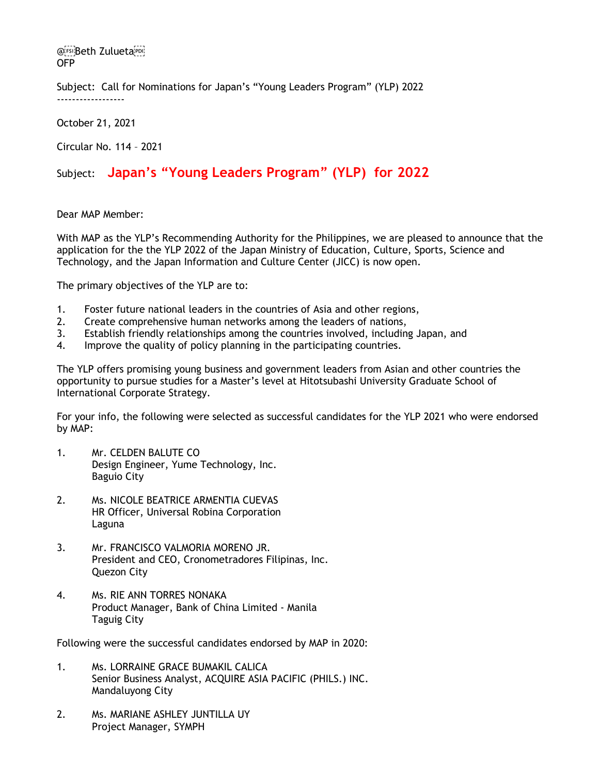@FsiBeth ZuluetaPpl OFP

Subject: Call for Nominations for Japan's "Young Leaders Program" (YLP) 2022 ------------------

October 21, 2021

Circular No. 114 – 2021

## Subject: **Japan's "Young Leaders Program" (YLP) for 2022**

Dear MAP Member:

With MAP as the YLP's Recommending Authority for the Philippines, we are pleased to announce that the application for the the YLP 2022 of the Japan Ministry of Education, Culture, Sports, Science and Technology, and the Japan Information and Culture Center (JICC) is now open.

The primary objectives of the YLP are to:

- 1. Foster future national leaders in the countries of Asia and other regions,
- 2. Create comprehensive human networks among the leaders of nations,
- 3. Establish friendly relationships among the countries involved, including Japan, and
- 4. Improve the quality of policy planning in the participating countries.

The YLP offers promising young business and government leaders from Asian and other countries the opportunity to pursue studies for a Master's level at Hitotsubashi University Graduate School of International Corporate Strategy.

For your info, the following were selected as successful candidates for the YLP 2021 who were endorsed by MAP:

- 1. Mr. CELDEN BALUTE CO Design Engineer, Yume Technology, Inc. Baguio City
- 2. Ms. NICOLE BEATRICE ARMENTIA CUEVAS HR Officer, Universal Robina Corporation Laguna
- 3. Mr. FRANCISCO VALMORIA MORENO JR. President and CEO, Cronometradores Filipinas, Inc. Quezon City
- 4. Ms. RIE ANN TORRES NONAKA Product Manager, Bank of China Limited - Manila Taguig City

Following were the successful candidates endorsed by MAP in 2020:

- 1. Ms. LORRAINE GRACE BUMAKIL CALICA Senior Business Analyst, ACQUIRE ASIA PACIFIC (PHILS.) INC. Mandaluyong City
- 2. Ms. MARIANE ASHLEY JUNTILLA UY Project Manager, SYMPH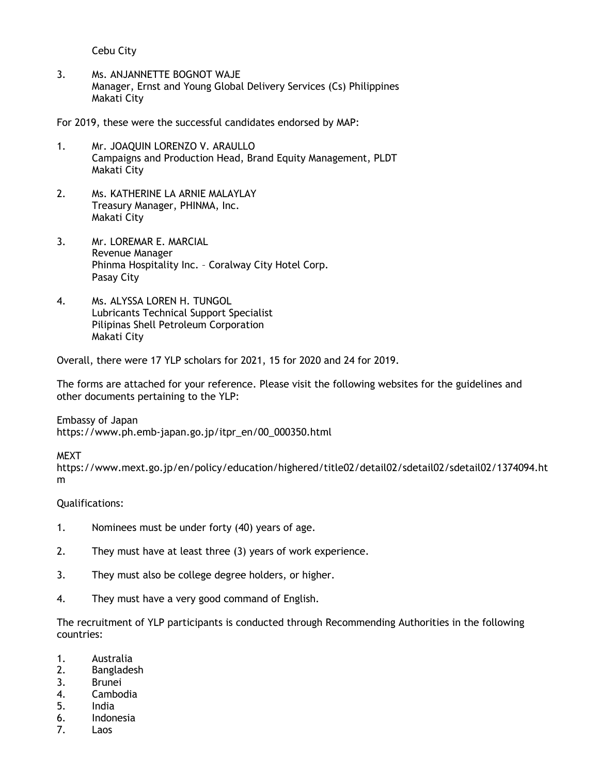Cebu City

3. Ms. ANJANNETTE BOGNOT WAJE Manager, Ernst and Young Global Delivery Services (Cs) Philippines Makati City

For 2019, these were the successful candidates endorsed by MAP:

- 1. Mr. JOAQUIN LORENZO V. ARAULLO Campaigns and Production Head, Brand Equity Management, PLDT Makati City
- 2. Ms. KATHERINE LA ARNIE MALAYLAY Treasury Manager, PHINMA, Inc. Makati City
- 3. Mr. LOREMAR E. MARCIAL Revenue Manager Phinma Hospitality Inc. – Coralway City Hotel Corp. Pasay City
- 4. Ms. ALYSSA LOREN H. TUNGOL Lubricants Technical Support Specialist Pilipinas Shell Petroleum Corporation Makati City

Overall, there were 17 YLP scholars for 2021, 15 for 2020 and 24 for 2019.

The forms are attached for your reference. Please visit the following websites for the guidelines and other documents pertaining to the YLP:

Embassy of Japan https://www.ph.emb-japan.go.jp/itpr\_en/00\_000350.html

**MEXT** 

https://www.mext.go.jp/en/policy/education/highered/title02/detail02/sdetail02/sdetail02/1374094.ht m

Qualifications:

- 1. Nominees must be under forty (40) years of age.
- 2. They must have at least three (3) years of work experience.
- 3. They must also be college degree holders, or higher.
- 4. They must have a very good command of English.

The recruitment of YLP participants is conducted through Recommending Authorities in the following countries:

- 1. Australia
- 2. Bangladesh
- 3. Brunei
- 4. Cambodia
- 5. India
- 6. Indonesia
- 7. Laos